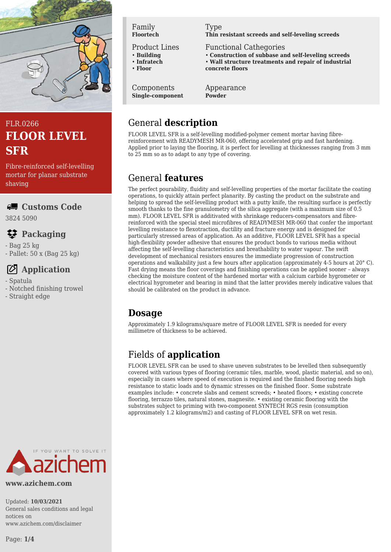

# FLR.0266 **FLOOR LEVEL SFR**

Fibre-reinforced self-levelling mortar for planar substrate shaving

### **Customs Code**

3824 5090

# **Packaging**

- Bag 25 kg - Pallet: 50 x (Bag 25 kg)

# **Application**

- Spatula
- Notched finishing trowel
- Straight edge

### Family **Floortech**

Product Lines

- **Building** • **Infratech**
- **Floor**
- 

Components **Single-component**

# Type

**Thin resistant screeds and self-leveling screeds**

Functional Cathegories

- **Construction of subbase and self-leveling screeds**
- **Wall structure treatments and repair of industrial concrete floors**

Appearance **Powder**

# General **description**

FLOOR LEVEL SFR is a self-levelling modified-polymer cement mortar having fibrereinforcement with READYMESH MR-060, offering accelerated grip and fast hardening. Applied prior to laying the flooring, it is perfect for levelling at thicknesses ranging from 3 mm to 25 mm so as to adapt to any type of covering.

# General **features**

The perfect pourability, fluidity and self-levelling properties of the mortar facilitate the coating operations, to quickly attain perfect planarity. By casting the product on the substrate and helping to spread the self-levelling product with a putty knife, the resulting surface is perfectly smooth thanks to the fine granulometry of the silica aggregate (with a maximum size of 0.5 mm). FLOOR LEVEL SFR is additivated with shrinkage reducers-compensators and fibrereinforced with the special steel microfibres of READYMESH MR-060 that confer the important levelling resistance to flexotraction, ductility and fracture energy and is designed for particularly stressed areas of application. As an additive, FLOOR LEVEL SFR has a special high-flexibility powder adhesive that ensures the product bonds to various media without affecting the self-levelling characteristics and breathability to water vapour. The swift development of mechanical resistors ensures the immediate progression of construction operations and walkability just a few hours after application (approximately 4-5 hours at 20° C). Fast drying means the floor coverings and finishing operations can be applied sooner – always checking the moisture content of the hardened mortar with a calcium carbide hygrometer or electrical hygrometer and bearing in mind that the latter provides merely indicative values that should be calibrated on the product in advance.

# **Dosage**

Approximately 1.9 kilograms/square metre of FLOOR LEVEL SFR is needed for every millimetre of thickness to be achieved.

# Fields of **application**

FLOOR LEVEL SFR can be used to shave uneven substrates to be levelled then subsequently covered with various types of flooring (ceramic tiles, marble, wood, plastic material, and so on), especially in cases where speed of execution is required and the finished flooring needs high resistance to static loads and to dynamic stresses on the finished floor. Some substrate examples include: • concrete slabs and cement screeds; • heated floors; • existing concrete flooring, terrazzo tiles, natural stones, magnesite. • existing ceramic flooring with the substrates subject to priming with two-component SYNTECH RGS resin (consumption approximately 1.2 kilograms/m2) and casting of FLOOR LEVEL SFR on wet resin.



#### **www.azichem.com**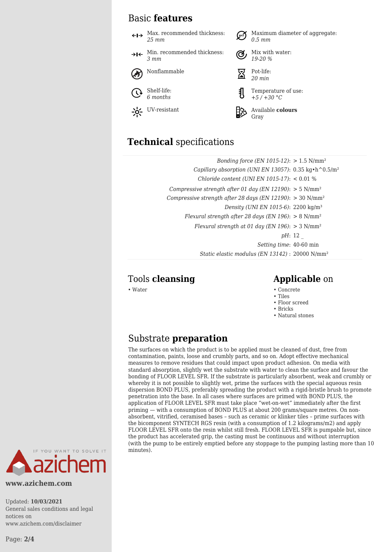### Basic **features**

Max. recommended thickness: Maximum diameter of aggregate: *25 mm 0.5 mm* Min. recommended thickness: Mix with water:  $\rightarrow$ I $\leftarrow$ *3 mm 19-20 %* Nonflammable  $\overline{\nabla}$  Pot-life: *20 min* Shelf-life: Temperature of use: *6 months +5 / +30 °C* UV-resistant **Available colours** Gray

## **Technical** specifications

| Bonding force (EN 1015-12): $> 1.5$ N/mm <sup>2</sup>                                   |                |
|-----------------------------------------------------------------------------------------|----------------|
| Capillary absorption (UNI EN 13057): $0.35 \text{ kg} \cdot \text{h}^0 0.5 \text{ m}^2$ |                |
| Chloride content (UNI EN 1015-17): $< 0.01$ %                                           |                |
| Compressive strength after 01 day (EN 12190): $> 5$ N/mm <sup>2</sup>                   |                |
| Compressive strength after 28 days (EN 12190): $>$ 30 N/mm <sup>2</sup>                 |                |
| Density (UNI EN 1015-6): 2200 kg/m <sup>3</sup>                                         |                |
| Flexural strength after 28 days (EN 196): $> 8$ N/mm <sup>2</sup>                       |                |
| Flexural strength at 01 day (EN 196): $> 3$ N/mm <sup>2</sup>                           |                |
|                                                                                         | <i>pH</i> : 12 |
| Setting time: 40-60 min                                                                 |                |
| Static elastic modulus (EN 13142) : 20000 N/mm <sup>2</sup>                             |                |

### Tools **cleansing Applicable** on

- Water Concrete Concrete Concrete Concrete Concrete Concrete Concrete Concrete Concrete Concrete Concrete Concrete Concrete Concrete Concrete Concrete Concrete Concrete Concrete Con
	- Tiles
	- Floor screed
	- Bricks • Natural stones

### Substrate **preparation**

The surfaces on which the product is to be applied must be cleaned of dust, free from contamination, paints, loose and crumbly parts, and so on. Adopt effective mechanical measures to remove residues that could impact upon product adhesion. On media with standard absorption, slightly wet the substrate with water to clean the surface and favour the bonding of FLOOR LEVEL SFR. If the substrate is particularly absorbent, weak and crumbly or whereby it is not possible to slightly wet, prime the surfaces with the special aqueous resin dispersion BOND PLUS, preferably spreading the product with a rigid-bristle brush to promote penetration into the base. In all cases where surfaces are primed with BOND PLUS, the application of FLOOR LEVEL SFR must take place "wet-on-wet" immediately after the first priming — with a consumption of BOND PLUS at about 200 grams/square metres. On nonabsorbent, vitrified, ceramised bases – such as ceramic or klinker tiles – prime surfaces with the bicomponent SYNTECH RGS resin (with a consumption of 1.2 kilograms/m2) and apply FLOOR LEVEL SFR onto the resin whilst still fresh. FLOOR LEVEL SFR is pumpable but, since the product has accelerated grip, the casting must be continuous and without interruption (with the pump to be entirely emptied before any stoppage to the pumping lasting more than 10 minutes).



**www.azichem.com**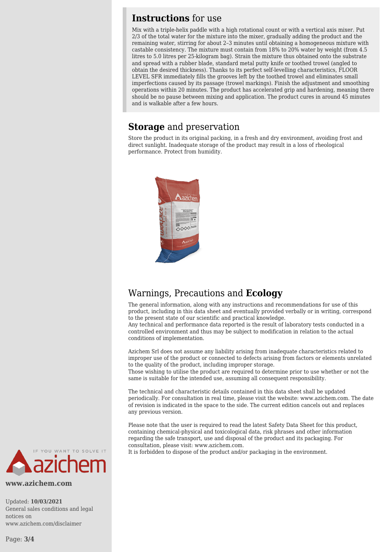### **Instructions** for use

Mix with a triple-helix paddle with a high rotational count or with a vertical axis mixer. Put 2/3 of the total water for the mixture into the mixer, gradually adding the product and the remaining water, stirring for about 2–3 minutes until obtaining a homogeneous mixture with castable consistency. The mixture must contain from 18% to 20% water by weight (from 4.5 litres to 5.0 litres per 25-kilogram bag). Strain the mixture thus obtained onto the substrate and spread with a rubber blade, standard metal putty knife or toothed trowel (angled to obtain the desired thickness). Thanks to its perfect self-levelling characteristics, FLOOR LEVEL SFR immediately fills the grooves left by the toothed trowel and eliminates small imperfections caused by its passage (trowel markings). Finish the adjustment and smoothing operations within 20 minutes. The product has accelerated grip and hardening, meaning there should be no pause between mixing and application. The product cures in around 45 minutes and is walkable after a few hours.

### **Storage** and preservation

Store the product in its original packing, in a fresh and dry environment, avoiding frost and direct sunlight. Inadequate storage of the product may result in a loss of rheological performance. Protect from humidity.



## Warnings, Precautions and **Ecology**

The general information, along with any instructions and recommendations for use of this product, including in this data sheet and eventually provided verbally or in writing, correspond to the present state of our scientific and practical knowledge.

Any technical and performance data reported is the result of laboratory tests conducted in a controlled environment and thus may be subject to modification in relation to the actual conditions of implementation.

Azichem Srl does not assume any liability arising from inadequate characteristics related to improper use of the product or connected to defects arising from factors or elements unrelated to the quality of the product, including improper storage.

Those wishing to utilise the product are required to determine prior to use whether or not the same is suitable for the intended use, assuming all consequent responsibility.

The technical and characteristic details contained in this data sheet shall be updated periodically. For consultation in real time, please visit the website: www.azichem.com. The date of revision is indicated in the space to the side. The current edition cancels out and replaces any previous version.

Please note that the user is required to read the latest Safety Data Sheet for this product, containing chemical-physical and toxicological data, risk phrases and other information regarding the safe transport, use and disposal of the product and its packaging. For consultation, please visit: www.azichem.com.

It is forbidden to dispose of the product and/or packaging in the environment.



**www.azichem.com**